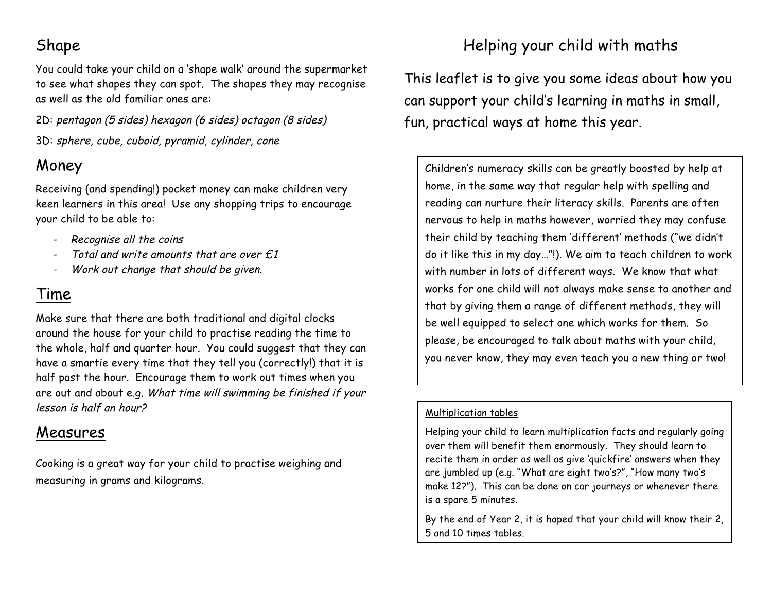## Shape

You could take your child on a 'shape walk' around the supermarket to see what shapes they can spot. The shapes they may recognise as well as the old familiar ones are:

2D: pentagon (5 sides) hexagon (6 sides) octagon (8 sides) 3D: sphere, cube, cuboid, pyramid, cylinder, cone

## Money

Receiving (and spending!) pocket money can make children very keen learners in this area! Use any shopping trips to encourage your child to be able to:

- Recognise all the coins
- Total and write amounts that are over  $f.1$
- Work out change that should be given.

#### Time

Make sure that there are both traditional and digital clocks around the house for your child to practise reading the time to the whole, half and quarter hour. You could suggest that they can have a smartie every time that they tell you (correctly!) that it is half past the hour. Encourage them to work out times when you are out and about e.g. What time will swimming be finished if your lesson is half an hour?

### Measures

Cooking is a great way for your child to practise weighing and measuring in grams and kilograms.

# Helping your child with maths

This leaflet is to give you some ideas about how you can support your child's learning in maths in small, fun, practical ways at home this year.

Children's numeracy skills can be greatly boosted by help at home, in the same way that regular help with spelling and reading can nurture their literacy skills. Parents are often nervous to help in maths however, worried they may confuse their child by teaching them 'different' methods ("we didn't do it like this in my day…"!). We aim to teach children to work with number in lots of different ways. We know that what works for one child will not always make sense to another and that by giving them a range of different methods, they will be well equipped to select one which works for them. So please, be encouraged to talk about maths with your child, you never know, they may even teach you a new thing or two!

#### Multiplication tables

Helping your child to learn multiplication facts and regularly going over them will benefit them enormously. They should learn to recite them in order as well as give 'quickfire' answers when they are jumbled up (e.g. "What are eight two's?", "How many two's make 12?"). This can be done on car journeys or whenever there is a spare 5 minutes.

By the end of Year 2, it is hoped that your child will know their 2, 5 and 10 times tables.